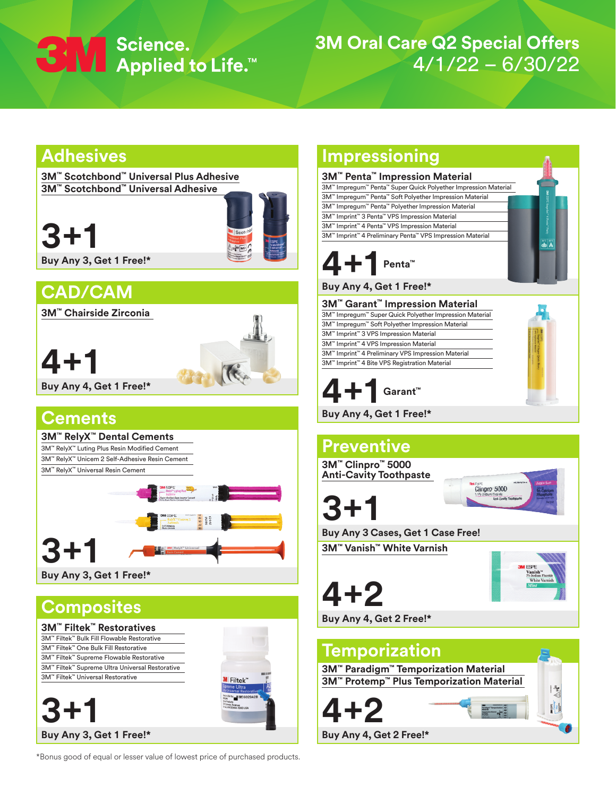

# **3M Oral Care Q2 Special Offers** 4/1/22 – 6/30/22

**A** 

# **Adhesives**

**3M™ Scotchbond™ Universal Plus Adhesive 3M™ Scotchbond™ Universal Adhesive**

**3+1**



**Buy Any 3, Get 1 Free!\***

# **CAD/CAM**

**3M™ Chairside Zirconia**

**4+1**



**Buy Any 4, Get 1 Free!\***

# **Cements**



# **Composites**



\*Bonus good of equal or lesser value of lowest price of purchased products.

# **Impressioning**

## **3M™ Penta™ Impression Material**

3M™ Impregum™ Penta™ Super Quick Polyether Impression Material 3M™ Impregum™ Penta™ Soft Polyether Impression Material 3M™ Impregum™ Penta™ Polyether Impression Material 3M™ Imprint™ 3 Penta™ VPS Impression Material 3M™ Imprint™ 4 Penta™ VPS Impression Material 3M™ Imprint™ 4 Preliminary Penta™ VPS Impression Material



## **Buy Any 4, Get 1 Free!\***

**3M™ Garant™ Impression Material** 3M™ Impregum™ Super Quick Polyether Impression Material 3M™ Impregum™ Soft Polyether Impression Material 3M™ Imprint™ 3 VPS Impression Material 3M™ Imprint™ 4 VPS Impression Material 3M™ Imprint™ 4 Preliminary VPS Impression Material 3M™ Imprint™ 4 Bite VPS Registration Material



**Buy Any 4, Get 1 Free!\***

# **Preventive 3M™ Clinpro™ 5000 Anti-Cavity Toothpaste** Clinpro 5000 **3+1 Buy Any 3 Cases, Get 1 Case Free! 3M™ Vanish™ White Varnish**

**4+2 Buy Any 4, Get 2 Free!\***